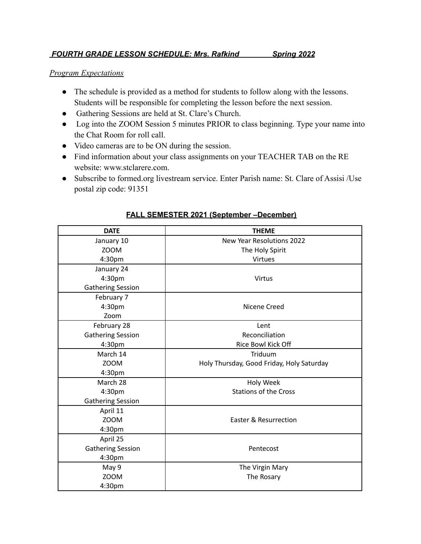## *FOURTH GRADE LESSON SCHEDULE: Mrs. Rafkind Spring 2022*

## *Program Expectations*

- The schedule is provided as a method for students to follow along with the lessons. Students will be responsible for completing the lesson before the next session.
- Gathering Sessions are held at St. Clare's Church.
- Log into the ZOOM Session 5 minutes PRIOR to class beginning. Type your name into the Chat Room for roll call.
- Video cameras are to be ON during the session.
- Find information about your class assignments on your TEACHER TAB on the RE website: www.stclarere.com.
- Subscribe to formed.org livestream service. Enter Parish name: St. Clare of Assisi /Use postal zip code: 91351

| <b>DATE</b>              | <b>THEME</b>                              |
|--------------------------|-------------------------------------------|
| January 10               | <b>New Year Resolutions 2022</b>          |
| ZOOM                     | The Holy Spirit                           |
| 4:30pm                   | Virtues                                   |
| January 24               |                                           |
| 4:30pm                   | <b>Virtus</b>                             |
| <b>Gathering Session</b> |                                           |
| February 7               |                                           |
| 4:30pm                   | Nicene Creed                              |
| Zoom                     |                                           |
| February 28              | Lent                                      |
| <b>Gathering Session</b> | Reconciliation                            |
| 4:30pm                   | Rice Bowl Kick Off                        |
| March 14                 | Triduum                                   |
| ZOOM                     | Holy Thursday, Good Friday, Holy Saturday |
| 4:30pm                   |                                           |
| March 28                 | Holy Week                                 |
| 4:30pm                   | <b>Stations of the Cross</b>              |
| <b>Gathering Session</b> |                                           |
| April 11                 |                                           |
| <b>ZOOM</b>              | Easter & Resurrection                     |
| 4:30pm                   |                                           |
| April 25                 |                                           |
| <b>Gathering Session</b> | Pentecost                                 |
| 4:30pm                   |                                           |
| May 9                    | The Virgin Mary                           |
| <b>ZOOM</b>              | The Rosary                                |
| 4:30pm                   |                                           |

## **FALL SEMESTER 2021 (September –December)**